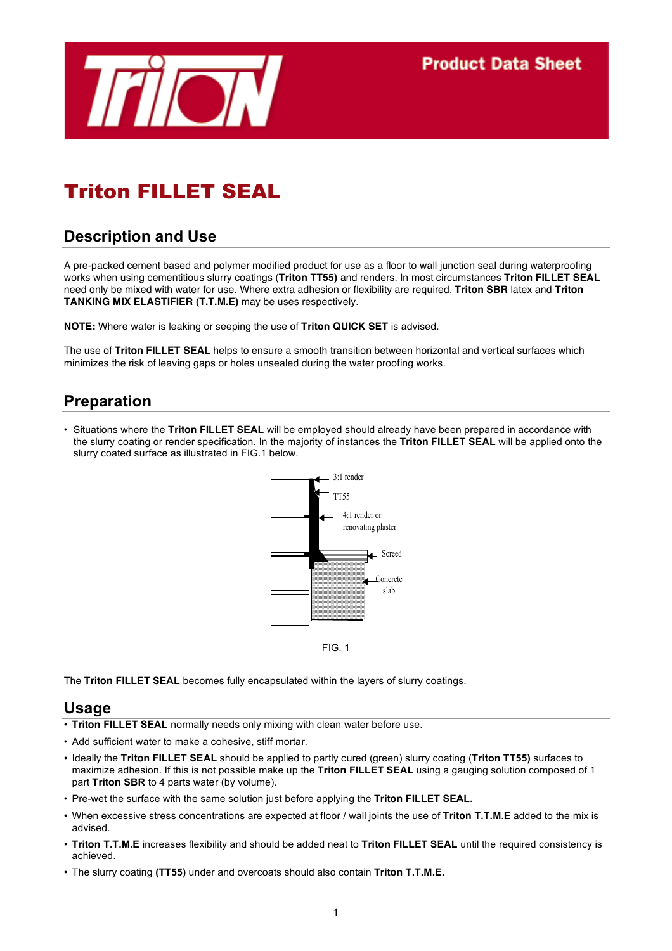

# Triton FILLET SEAL

## **Description and Use**

A pre-packed cement based and polymer modified product for use as a floor to wall junction seal during waterproofing works when using cementitious slurry coatings (**Triton TT55)** and renders. In most circumstances **Triton FILLET SEAL** need only be mixed with water for use. Where extra adhesion or flexibility are required, **Triton SBR** latex and **Triton TANKING MIX ELASTIFIER (T.T.M.E)** may be uses respectively.

**NOTE:** Where water is leaking or seeping the use of **Triton QUICK SET** is advised.

The use of **Triton FILLET SEAL** helps to ensure a smooth transition between horizontal and vertical surfaces which minimizes the risk of leaving gaps or holes unsealed during the water proofing works.

### **Preparation**

• Situations where the **Triton FILLET SEAL** will be employed should already have been prepared in accordance with the slurry coating or render specification. In the majority of instances the **Triton FILLET SEAL** will be applied onto the slurry coated surface as illustrated in FIG.1 below.



FIG. 1

The **Triton FILLET SEAL** becomes fully encapsulated within the layers of slurry coatings.

#### **Usage**

- **Triton FILLET SEAL** normally needs only mixing with clean water before use.
- Add sufficient water to make a cohesive, stiff mortar.
- Ideally the **Triton FILLET SEAL** should be applied to partly cured (green) slurry coating (**Triton TT55)** surfaces to maximize adhesion. If this is not possible make up the **Triton FILLET SEAL** using a gauging solution composed of 1 part **Triton SBR** to 4 parts water (by volume).
- Pre-wet the surface with the same solution just before applying the **Triton FILLET SEAL.**
- When excessive stress concentrations are expected at floor / wall joints the use of **Triton T.T.M.E** added to the mix is advised.
- **Triton T.T.M.E** increases flexibility and should be added neat to **Triton FILLET SEAL** until the required consistency is achieved.
- The slurry coating **(TT55)** under and overcoats should also contain **Triton T.T.M.E.**